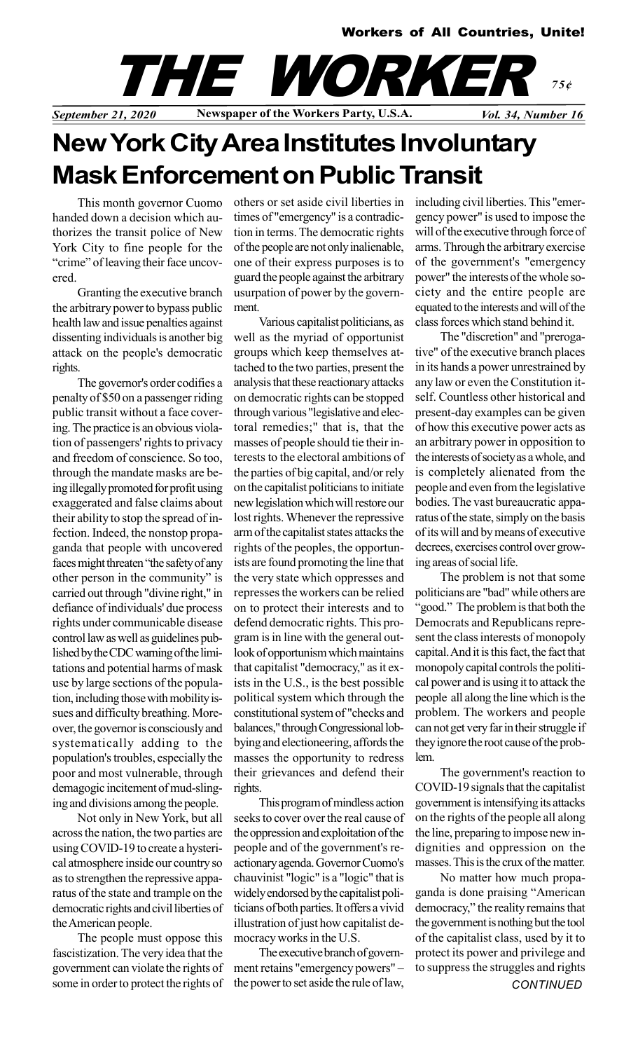

# New York City Area Institutes Involuntary Mask Enforcement on Public Transit

This month governor Cuomo handed down a decision which authorizes the transit police of New York City to fine people for the "crime" of leaving their face uncovered.

Granting the executive branch the arbitrary power to bypass public health law and issue penalties against dissenting individuals is another big attack on the people's democratic rights.

The governor's order codifies a penalty of \$50 on a passenger riding public transit without a face covering. The practice is an obvious violation of passengers' rights to privacy and freedom of conscience. So too, through the mandate masks are being illegally promoted for profit using exaggerated and false claims about their ability to stop the spread of infection. Indeed, the nonstop propaganda that people with uncovered faces might threaten "the safety of any other person in the community" is carried out through "divine right," in defiance of individuals' due process rights under communicable disease control law as well as guidelines published by the CDC warning of the limitations and potential harms of mask use by large sections of the population, including those with mobility issues and difficulty breathing. Moreover, the governor is consciously and systematically adding to the population's troubles, especially the poor and most vulnerable, through demagogic incitement of mud-slinging and divisions among the people.

Not only in New York, but all across the nation, the two parties are using COVID-19 to create a hysterical atmosphere inside our country so as to strengthen the repressive apparatus of the state and trample on the democratic rights and civil liberties of the American people.

The people must oppose this fascistization. The very idea that the government can violate the rights of some in order to protect the rights of others or set aside civil liberties in times of "emergency" is a contradiction in terms. The democratic rights of the people are not only inalienable, one of their express purposes is to guard the people against the arbitrary usurpation of power by the government.

Various capitalist politicians, as well as the myriad of opportunist groups which keep themselves attached to the two parties, present the analysis that these reactionary attacks on democratic rights can be stopped through various "legislative and electoral remedies;" that is, that the masses of people should tie their interests to the electoral ambitions of the parties of big capital, and/or rely on the capitalist politicians to initiate new legislation which will restore our lost rights. Whenever the repressive arm of the capitalist states attacks the rights of the peoples, the opportunists are found promoting the line that the very state which oppresses and represses the workers can be relied on to protect their interests and to defend democratic rights. This program is in line with the general outlook of opportunism which maintains that capitalist "democracy," as it exists in the U.S., is the best possible political system which through the constitutional system of "checks and balances," through Congressional lobbying and electioneering, affords the masses the opportunity to redress their grievances and defend their rights.

This program of mindless action seeks to cover over the real cause of the oppression and exploitation of the people and of the government's reactionary agenda. Governor Cuomo's chauvinist "logic" is a "logic" that is widely endorsed by the capitalist politicians of both parties. It offers a vivid illustration of just how capitalist democracy works in the U.S.

The executive branch of government retains "emergency powers" – the power to set aside the rule of law, including civil liberties. This "emergency power" is used to impose the will of the executive through force of arms. Through the arbitrary exercise of the government's "emergency power" the interests of the whole society and the entire people are equated to the interests and will of the class forces which stand behind it.

The "discretion" and "prerogative" of the executive branch places in its hands a power unrestrained by any law or even the Constitution itself. Countless other historical and present-day examples can be given of how this executive power acts as an arbitrary power in opposition to the interests of society as a whole, and is completely alienated from the people and even from the legislative bodies. The vast bureaucratic apparatus of the state, simply on the basis of its will and by means of executive decrees, exercises control over growing areas of social life.

The problem is not that some politicians are "bad" while others are "good." The problem is that both the Democrats and Republicans represent the class interests of monopoly capital. And it is this fact, the fact that monopoly capital controls the political power and is using it to attack the people all along the line which is the problem. The workers and people can not get very far in their struggle if they ignore the root cause of the problem.

The government's reaction to COVID-19 signals that the capitalist government is intensifying its attacks on the rights of the people all along the line, preparing to impose new indignities and oppression on the masses. This is the crux of the matter.

No matter how much propaganda is done praising "American democracy," the reality remains that the government is nothing but the tool of the capitalist class, used by it to protect its power and privilege and to suppress the struggles and rights **CONTINUED**